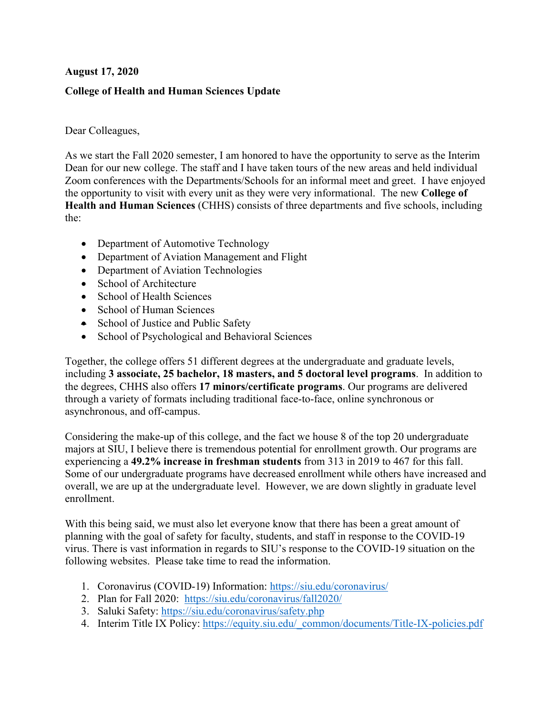## **August 17, 2020**

## **College of Health and Human Sciences Update**

#### Dear Colleagues,

As we start the Fall 2020 semester, I am honored to have the opportunity to serve as the Interim Dean for our new college. The staff and I have taken tours of the new areas and held individual Zoom conferences with the Departments/Schools for an informal meet and greet. I have enjoyed the opportunity to visit with every unit as they were very informational. The new **College of Health and Human Sciences** (CHHS) consists of three departments and five schools, including the:

- Department of Automotive Technology
- Department of Aviation Management and Flight
- Department of Aviation Technologies
- School of Architecture
- School of Health Sciences
- School of Human Sciences
- School of Justice and Public Safety
- School of Psychological and Behavioral Sciences

Together, the college offers 51 different degrees at the undergraduate and graduate levels, including **3 associate, 25 bachelor, 18 masters, and 5 doctoral level programs**. In addition to the degrees, CHHS also offers **17 minors/certificate programs**. Our programs are delivered through a variety of formats including traditional face-to-face, online synchronous or asynchronous, and off-campus.

Considering the make-up of this college, and the fact we house 8 of the top 20 undergraduate majors at SIU, I believe there is tremendous potential for enrollment growth. Our programs are experiencing a **49.2% increase in freshman students** from 313 in 2019 to 467 for this fall. Some of our undergraduate programs have decreased enrollment while others have increased and overall, we are up at the undergraduate level. However, we are down slightly in graduate level enrollment.

With this being said, we must also let everyone know that there has been a great amount of planning with the goal of safety for faculty, students, and staff in response to the COVID-19 virus. There is vast information in regards to SIU's response to the COVID-19 situation on the following websites. Please take time to read the information.

- 1. Coronavirus (COVID-19) Information: https://siu.edu/coronavirus/
- 2. Plan for Fall 2020: https://siu.edu/coronavirus/fall2020/
- 3. Saluki Safety: https://siu.edu/coronavirus/safety.php
- 4. Interim Title IX Policy: https://equity.siu.edu/\_common/documents/Title-IX-policies.pdf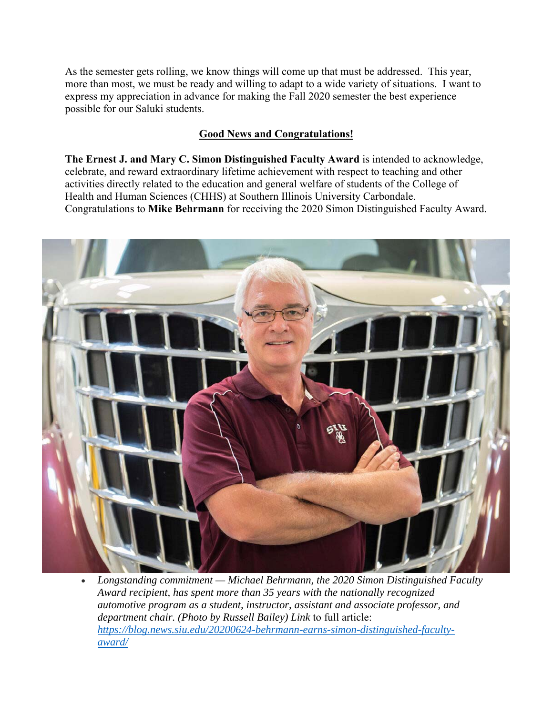As the semester gets rolling, we know things will come up that must be addressed. This year, more than most, we must be ready and willing to adapt to a wide variety of situations. I want to express my appreciation in advance for making the Fall 2020 semester the best experience possible for our Saluki students.

## **Good News and Congratulations!**

**The Ernest J. and Mary C. Simon Distinguished Faculty Award** is intended to acknowledge, celebrate, and reward extraordinary lifetime achievement with respect to teaching and other activities directly related to the education and general welfare of students of the College of Health and Human Sciences (CHHS) at Southern Illinois University Carbondale. Congratulations to **Mike Behrmann** for receiving the 2020 Simon Distinguished Faculty Award.



 *Longstanding commitment — Michael Behrmann, the 2020 Simon Distinguished Faculty Award recipient, has spent more than 35 years with the nationally recognized automotive program as a student, instructor, assistant and associate professor, and department chair. (Photo by Russell Bailey) Link* to full article: *https://blog.news.siu.edu/20200624-behrmann-earns-simon-distinguished-facultyaward/*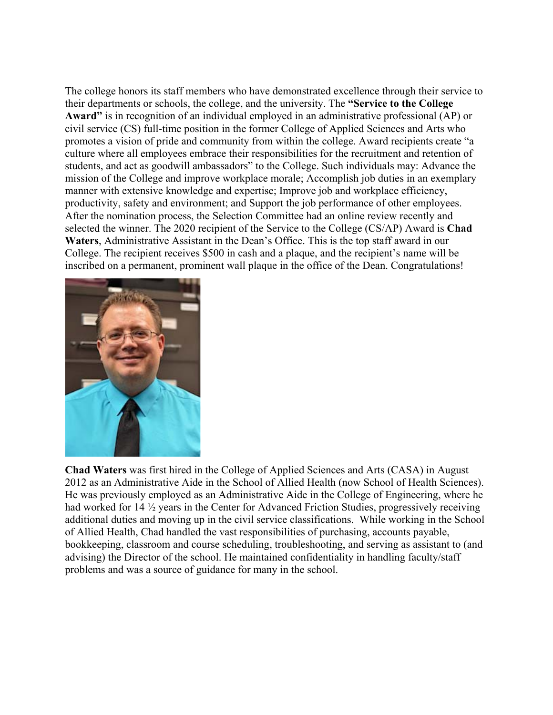The college honors its staff members who have demonstrated excellence through their service to their departments or schools, the college, and the university. The **"Service to the College Award"** is in recognition of an individual employed in an administrative professional (AP) or civil service (CS) full-time position in the former College of Applied Sciences and Arts who promotes a vision of pride and community from within the college. Award recipients create "a culture where all employees embrace their responsibilities for the recruitment and retention of students, and act as goodwill ambassadors" to the College. Such individuals may: Advance the mission of the College and improve workplace morale; Accomplish job duties in an exemplary manner with extensive knowledge and expertise; Improve job and workplace efficiency, productivity, safety and environment; and Support the job performance of other employees. After the nomination process, the Selection Committee had an online review recently and selected the winner. The 2020 recipient of the Service to the College (CS/AP) Award is **Chad Waters**, Administrative Assistant in the Dean's Office. This is the top staff award in our College. The recipient receives \$500 in cash and a plaque, and the recipient's name will be inscribed on a permanent, prominent wall plaque in the office of the Dean. Congratulations!



**Chad Waters** was first hired in the College of Applied Sciences and Arts (CASA) in August 2012 as an Administrative Aide in the School of Allied Health (now School of Health Sciences). He was previously employed as an Administrative Aide in the College of Engineering, where he had worked for 14 ½ years in the Center for Advanced Friction Studies, progressively receiving additional duties and moving up in the civil service classifications. While working in the School of Allied Health, Chad handled the vast responsibilities of purchasing, accounts payable, bookkeeping, classroom and course scheduling, troubleshooting, and serving as assistant to (and advising) the Director of the school. He maintained confidentiality in handling faculty/staff problems and was a source of guidance for many in the school.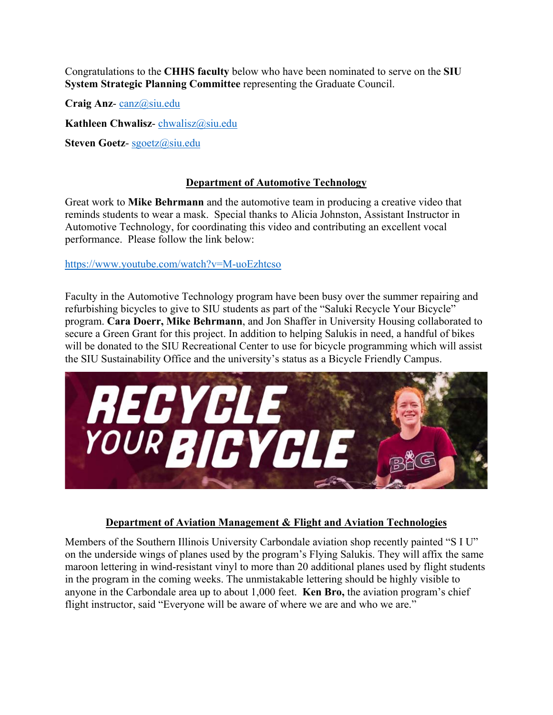Congratulations to the **CHHS faculty** below who have been nominated to serve on the **SIU System Strategic Planning Committee** representing the Graduate Council.

**Craig Anz**- canz@siu.edu

**Kathleen Chwalisz**- chwalisz@siu.edu

**Steven Goetz**- sgoetz@siu.edu

### **Department of Automotive Technology**

Great work to **Mike Behrmann** and the automotive team in producing a creative video that reminds students to wear a mask. Special thanks to Alicia Johnston, Assistant Instructor in Automotive Technology, for coordinating this video and contributing an excellent vocal performance. Please follow the link below:

#### https://www.youtube.com/watch?v=M-uoEzhtcso

Faculty in the Automotive Technology program have been busy over the summer repairing and refurbishing bicycles to give to SIU students as part of the "Saluki Recycle Your Bicycle" program. **Cara Doerr, Mike Behrmann**, and Jon Shaffer in University Housing collaborated to secure a Green Grant for this project. In addition to helping Salukis in need, a handful of bikes will be donated to the SIU Recreational Center to use for bicycle programming which will assist the SIU Sustainability Office and the university's status as a Bicycle Friendly Campus.



## **Department of Aviation Management & Flight and Aviation Technologies**

Members of the Southern Illinois University Carbondale aviation shop recently painted "S I U" on the underside wings of planes used by the program's Flying Salukis. They will affix the same maroon lettering in wind-resistant vinyl to more than 20 additional planes used by flight students in the program in the coming weeks. The unmistakable lettering should be highly visible to anyone in the Carbondale area up to about 1,000 feet. **Ken Bro,** the aviation program's chief flight instructor, said "Everyone will be aware of where we are and who we are."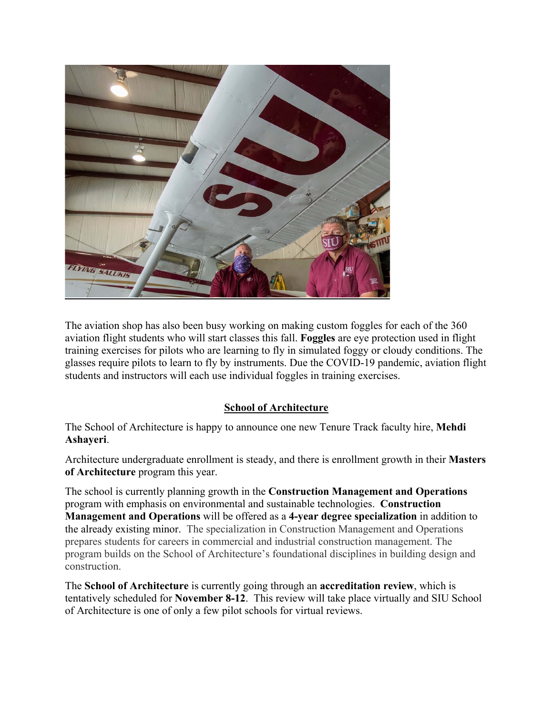

The aviation shop has also been busy working on making custom foggles for each of the 360 aviation flight students who will start classes this fall. **Foggles** are eye protection used in flight training exercises for pilots who are learning to fly in simulated foggy or cloudy conditions. The glasses require pilots to learn to fly by instruments. Due the COVID-19 pandemic, aviation flight students and instructors will each use individual foggles in training exercises.

# **School of Architecture**

The School of Architecture is happy to announce one new Tenure Track faculty hire, **Mehdi Ashayeri**.

Architecture undergraduate enrollment is steady, and there is enrollment growth in their **Masters of Architecture** program this year.

The school is currently planning growth in the **Construction Management and Operations** program with emphasis on environmental and sustainable technologies. **Construction Management and Operations** will be offered as a **4-year degree specialization** in addition to the already existing minor. The specialization in Construction Management and Operations prepares students for careers in commercial and industrial construction management. The program builds on the School of Architecture's foundational disciplines in building design and construction.

The **School of Architecture** is currently going through an **accreditation review**, which is tentatively scheduled for **November 8-12**. This review will take place virtually and SIU School of Architecture is one of only a few pilot schools for virtual reviews.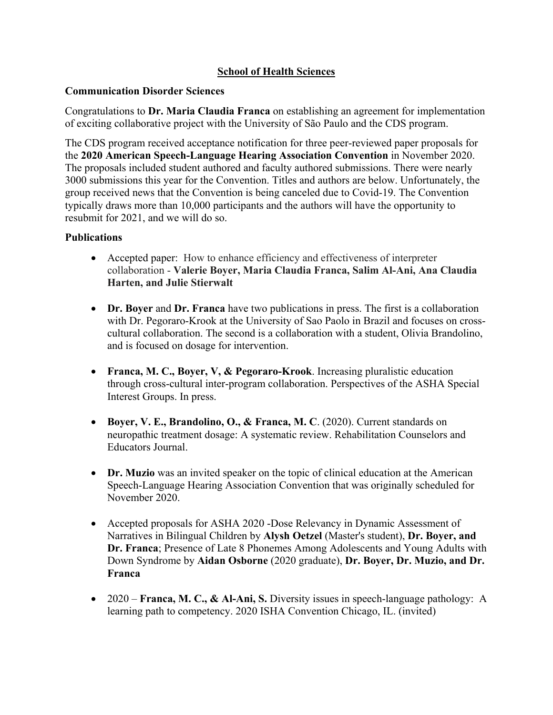## **School of Health Sciences**

#### **Communication Disorder Sciences**

Congratulations to **Dr. Maria Claudia Franca** on establishing an agreement for implementation of exciting collaborative project with the University of São Paulo and the CDS program.

The CDS program received acceptance notification for three peer-reviewed paper proposals for the **2020 American Speech-Language Hearing Association Convention** in November 2020. The proposals included student authored and faculty authored submissions. There were nearly 3000 submissions this year for the Convention. Titles and authors are below. Unfortunately, the group received news that the Convention is being canceled due to Covid-19. The Convention typically draws more than 10,000 participants and the authors will have the opportunity to resubmit for 2021, and we will do so.

#### **Publications**

- Accepted paper: How to enhance efficiency and effectiveness of interpreter collaboration - **Valerie Boyer, Maria Claudia Franca, Salim Al-Ani, Ana Claudia Harten, and Julie Stierwalt**
- **Dr. Boyer** and **Dr. Franca** have two publications in press. The first is a collaboration with Dr. Pegoraro-Krook at the University of Sao Paolo in Brazil and focuses on crosscultural collaboration. The second is a collaboration with a student, Olivia Brandolino, and is focused on dosage for intervention.
- **Franca, M. C., Boyer, V, & Pegoraro-Krook**. Increasing pluralistic education through cross-cultural inter-program collaboration. Perspectives of the ASHA Special Interest Groups. In press.
- **Boyer, V. E., Brandolino, O., & Franca, M. C**. (2020). Current standards on neuropathic treatment dosage: A systematic review. Rehabilitation Counselors and Educators Journal.
- **Dr. Muzio** was an invited speaker on the topic of clinical education at the American Speech-Language Hearing Association Convention that was originally scheduled for November 2020.
- Accepted proposals for ASHA 2020 -Dose Relevancy in Dynamic Assessment of Narratives in Bilingual Children by **Alysh Oetzel** (Master's student), **Dr. Boyer, and Dr. Franca**; Presence of Late 8 Phonemes Among Adolescents and Young Adults with Down Syndrome by **Aidan Osborne** (2020 graduate), **Dr. Boyer, Dr. Muzio, and Dr. Franca**
- 2020 **Franca, M. C., & Al-Ani, S.** Diversity issues in speech-language pathology: A learning path to competency. 2020 ISHA Convention Chicago, IL. (invited)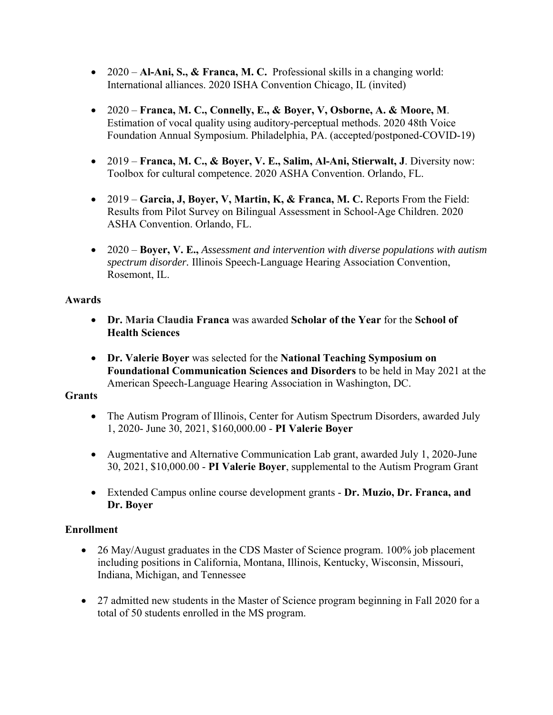- 2020 **Al-Ani, S., & Franca, M. C.** Professional skills in a changing world: International alliances. 2020 ISHA Convention Chicago, IL (invited)
- 2020 **Franca, M. C., Connelly, E., & Boyer, V, Osborne, A. & Moore, M**. Estimation of vocal quality using auditory-perceptual methods. 2020 48th Voice Foundation Annual Symposium. Philadelphia, PA. (accepted/postponed-COVID-19)
- 2019 **Franca, M. C., & Boyer, V. E., Salim, Al-Ani, Stierwalt, J**. Diversity now: Toolbox for cultural competence. 2020 ASHA Convention. Orlando, FL.
- 2019 **Garcia, J, Bover, V, Martin, K, & Franca, M. C.** Reports From the Field: Results from Pilot Survey on Bilingual Assessment in School-Age Children. 2020 ASHA Convention. Orlando, FL.
- 2020 **Boyer, V. E.,** *Assessment and intervention with diverse populations with autism spectrum disorder.* Illinois Speech-Language Hearing Association Convention, Rosemont, IL.

## **Awards**

- **Dr. Maria Claudia Franca** was awarded **Scholar of the Year** for the **School of Health Sciences**
- **Dr. Valerie Boyer** was selected for the **National Teaching Symposium on Foundational Communication Sciences and Disorders** to be held in May 2021 at the American Speech-Language Hearing Association in Washington, DC.

# **Grants**

- The Autism Program of Illinois, Center for Autism Spectrum Disorders, awarded July 1, 2020- June 30, 2021, \$160,000.00 - **PI Valerie Boyer**
- Augmentative and Alternative Communication Lab grant, awarded July 1, 2020-June 30, 2021, \$10,000.00 - **PI Valerie Boyer**, supplemental to the Autism Program Grant
- Extended Campus online course development grants **Dr. Muzio, Dr. Franca, and Dr. Boyer**

# **Enrollment**

- 26 May/August graduates in the CDS Master of Science program. 100% job placement including positions in California, Montana, Illinois, Kentucky, Wisconsin, Missouri, Indiana, Michigan, and Tennessee
- 27 admitted new students in the Master of Science program beginning in Fall 2020 for a total of 50 students enrolled in the MS program.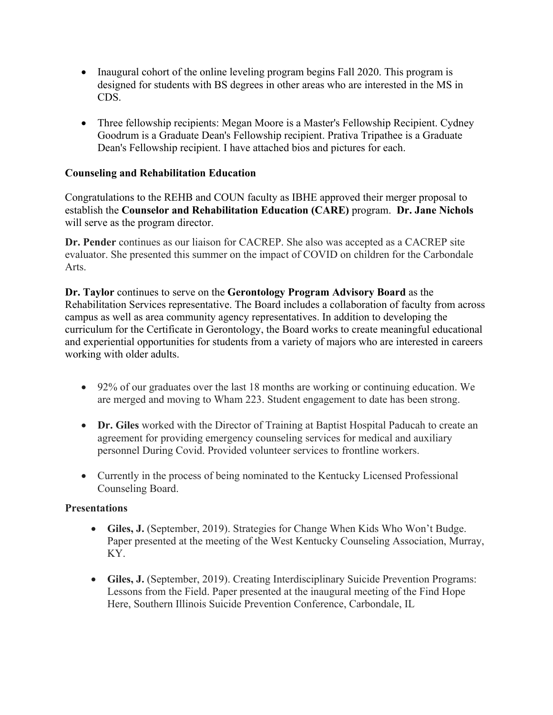- Inaugural cohort of the online leveling program begins Fall 2020. This program is designed for students with BS degrees in other areas who are interested in the MS in CDS.
- Three fellowship recipients: Megan Moore is a Master's Fellowship Recipient. Cydney Goodrum is a Graduate Dean's Fellowship recipient. Prativa Tripathee is a Graduate Dean's Fellowship recipient. I have attached bios and pictures for each.

## **Counseling and Rehabilitation Education**

Congratulations to the REHB and COUN faculty as IBHE approved their merger proposal to establish the **Counselor and Rehabilitation Education (CARE)** program. **Dr. Jane Nichols** will serve as the program director.

**Dr. Pender** continues as our liaison for CACREP. She also was accepted as a CACREP site evaluator. She presented this summer on the impact of COVID on children for the Carbondale Arts.

**Dr. Taylor** continues to serve on the **Gerontology Program Advisory Board** as the Rehabilitation Services representative. The Board includes a collaboration of faculty from across campus as well as area community agency representatives. In addition to developing the curriculum for the Certificate in Gerontology, the Board works to create meaningful educational and experiential opportunities for students from a variety of majors who are interested in careers working with older adults.

- 92% of our graduates over the last 18 months are working or continuing education. We are merged and moving to Wham 223. Student engagement to date has been strong.
- **Dr. Giles** worked with the Director of Training at Baptist Hospital Paducah to create an agreement for providing emergency counseling services for medical and auxiliary personnel During Covid. Provided volunteer services to frontline workers.
- Currently in the process of being nominated to the Kentucky Licensed Professional Counseling Board.

## **Presentations**

- **Giles, J.** (September, 2019). Strategies for Change When Kids Who Won't Budge. Paper presented at the meeting of the West Kentucky Counseling Association, Murray, KY.
- **Giles, J.** (September, 2019). Creating Interdisciplinary Suicide Prevention Programs: Lessons from the Field. Paper presented at the inaugural meeting of the Find Hope Here, Southern Illinois Suicide Prevention Conference, Carbondale, IL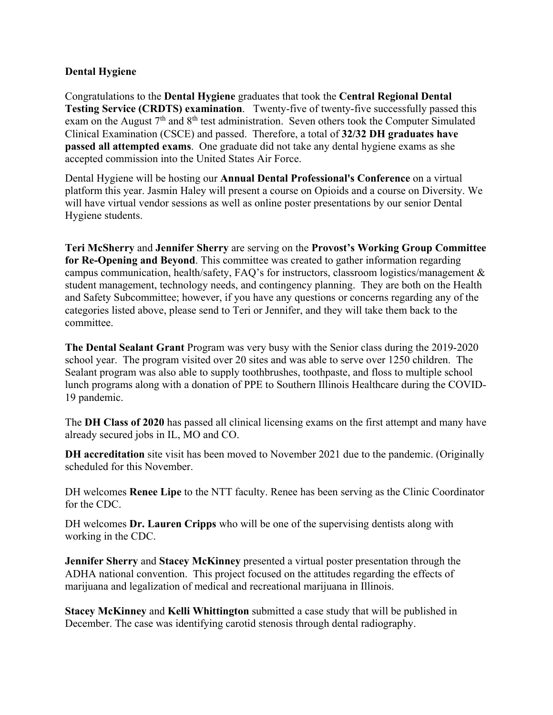### **Dental Hygiene**

Congratulations to the **Dental Hygiene** graduates that took the **Central Regional Dental Testing Service (CRDTS) examination**. Twenty-five of twenty-five successfully passed this exam on the August  $7<sup>th</sup>$  and  $8<sup>th</sup>$  test administration. Seven others took the Computer Simulated Clinical Examination (CSCE) and passed. Therefore, a total of **32/32 DH graduates have passed all attempted exams**. One graduate did not take any dental hygiene exams as she accepted commission into the United States Air Force.

Dental Hygiene will be hosting our **Annual Dental Professional's Conference** on a virtual platform this year. Jasmin Haley will present a course on Opioids and a course on Diversity. We will have virtual vendor sessions as well as online poster presentations by our senior Dental Hygiene students.

**Teri McSherry** and **Jennifer Sherry** are serving on the **Provost's Working Group Committee for Re-Opening and Beyond**. This committee was created to gather information regarding campus communication, health/safety, FAQ's for instructors, classroom logistics/management & student management, technology needs, and contingency planning. They are both on the Health and Safety Subcommittee; however, if you have any questions or concerns regarding any of the categories listed above, please send to Teri or Jennifer, and they will take them back to the committee.

**The Dental Sealant Grant** Program was very busy with the Senior class during the 2019-2020 school year. The program visited over 20 sites and was able to serve over 1250 children. The Sealant program was also able to supply toothbrushes, toothpaste, and floss to multiple school lunch programs along with a donation of PPE to Southern Illinois Healthcare during the COVID-19 pandemic.

The **DH Class of 2020** has passed all clinical licensing exams on the first attempt and many have already secured jobs in IL, MO and CO.

**DH accreditation** site visit has been moved to November 2021 due to the pandemic. (Originally scheduled for this November.

DH welcomes **Renee Lipe** to the NTT faculty. Renee has been serving as the Clinic Coordinator for the CDC.

DH welcomes **Dr. Lauren Cripps** who will be one of the supervising dentists along with working in the CDC.

**Jennifer Sherry** and **Stacey McKinney** presented a virtual poster presentation through the ADHA national convention. This project focused on the attitudes regarding the effects of marijuana and legalization of medical and recreational marijuana in Illinois.

**Stacey McKinney** and **Kelli Whittington** submitted a case study that will be published in December. The case was identifying carotid stenosis through dental radiography.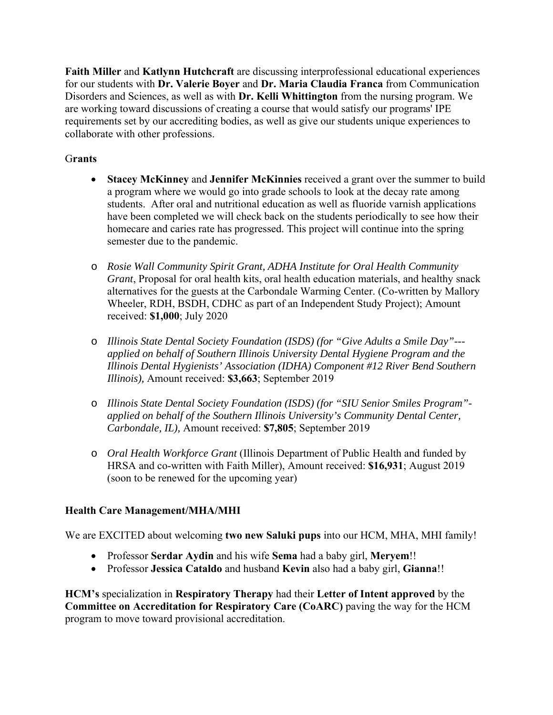**Faith Miller** and **Katlynn Hutchcraft** are discussing interprofessional educational experiences for our students with **Dr. Valerie Boyer** and **Dr. Maria Claudia Franca** from Communication Disorders and Sciences, as well as with **Dr. Kelli Whittington** from the nursing program. We are working toward discussions of creating a course that would satisfy our programs' IPE requirements set by our accrediting bodies, as well as give our students unique experiences to collaborate with other professions.

## G**rants**

- **Stacey McKinney** and **Jennifer McKinnies** received a grant over the summer to build a program where we would go into grade schools to look at the decay rate among students. After oral and nutritional education as well as fluoride varnish applications have been completed we will check back on the students periodically to see how their homecare and caries rate has progressed. This project will continue into the spring semester due to the pandemic.
- o *Rosie Wall Community Spirit Grant, ADHA Institute for Oral Health Community Grant*, Proposal for oral health kits, oral health education materials, and healthy snack alternatives for the guests at the Carbondale Warming Center. (Co-written by Mallory Wheeler, RDH, BSDH, CDHC as part of an Independent Study Project); Amount received: **\$1,000**; July 2020
- o *Illinois State Dental Society Foundation (ISDS) (for "Give Adults a Smile Day"-- applied on behalf of Southern Illinois University Dental Hygiene Program and the Illinois Dental Hygienists' Association (IDHA) Component #12 River Bend Southern Illinois),* Amount received: **\$3,663**; September 2019
- o *Illinois State Dental Society Foundation (ISDS) (for "SIU Senior Smiles Program" applied on behalf of the Southern Illinois University's Community Dental Center, Carbondale, IL),* Amount received: **\$7,805**; September 2019
- o *Oral Health Workforce Grant* (Illinois Department of Public Health and funded by HRSA and co-written with Faith Miller), Amount received: **\$16,931**; August 2019 (soon to be renewed for the upcoming year)

# **Health Care Management/MHA/MHI**

We are EXCITED about welcoming **two new Saluki pups** into our HCM, MHA, MHI family!

- Professor **Serdar Aydin** and his wife **Sema** had a baby girl, **Meryem**!!
- Professor **Jessica Cataldo** and husband **Kevin** also had a baby girl, **Gianna**!!

**HCM's** specialization in **Respiratory Therapy** had their **Letter of Intent approved** by the **Committee on Accreditation for Respiratory Care (CoARC)** paving the way for the HCM program to move toward provisional accreditation.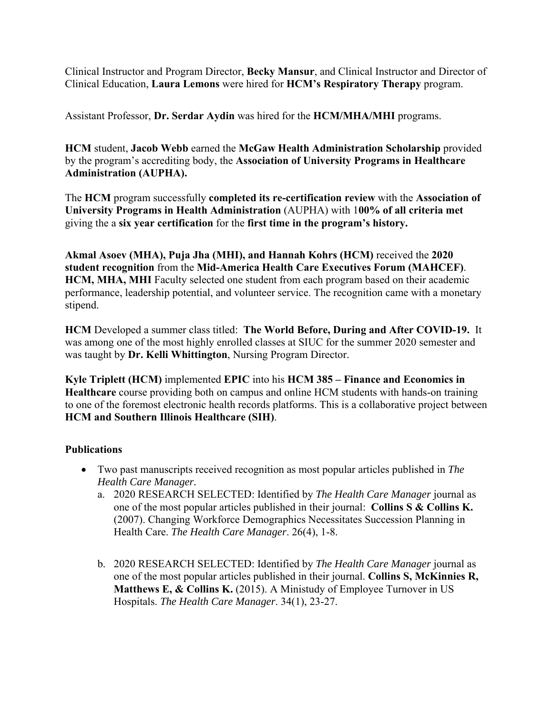Clinical Instructor and Program Director, **Becky Mansur**, and Clinical Instructor and Director of Clinical Education, **Laura Lemons** were hired for **HCM's Respiratory Therapy** program.

Assistant Professor, **Dr. Serdar Aydin** was hired for the **HCM/MHA/MHI** programs.

**HCM** student, **Jacob Webb** earned the **McGaw Health Administration Scholarship** provided by the program's accrediting body, the **Association of University Programs in Healthcare Administration (AUPHA).** 

The **HCM** program successfully **completed its re-certification review** with the **Association of University Programs in Health Administration** (AUPHA) with 1**00% of all criteria met** giving the a **six year certification** for the **first time in the program's history.** 

**Akmal Asoev (MHA), Puja Jha (MHI), and Hannah Kohrs (HCM)** received the **2020 student recognition** from the **Mid-America Health Care Executives Forum (MAHCEF)**. **HCM, MHA, MHI** Faculty selected one student from each program based on their academic performance, leadership potential, and volunteer service. The recognition came with a monetary stipend.

**HCM** Developed a summer class titled: **The World Before, During and After COVID-19.** It was among one of the most highly enrolled classes at SIUC for the summer 2020 semester and was taught by **Dr. Kelli Whittington**, Nursing Program Director.

**Kyle Triplett (HCM)** implemented **EPIC** into his **HCM 385 – Finance and Economics in Healthcare** course providing both on campus and online HCM students with hands-on training to one of the foremost electronic health records platforms. This is a collaborative project between **HCM and Southern Illinois Healthcare (SIH)**.

## **Publications**

- Two past manuscripts received recognition as most popular articles published in *The Health Care Manager.* 
	- a. 2020 RESEARCH SELECTED: Identified by *The Health Care Manager* journal as one of the most popular articles published in their journal: **Collins S & Collins K.** (2007). Changing Workforce Demographics Necessitates Succession Planning in Health Care. *The Health Care Manager*. 26(4), 1-8.
	- b. 2020 RESEARCH SELECTED: Identified by *The Health Care Manager* journal as one of the most popular articles published in their journal. **Collins S, McKinnies R, Matthews E, & Collins K.** (2015). A Ministudy of Employee Turnover in US Hospitals. *The Health Care Manager*. 34(1), 23-27.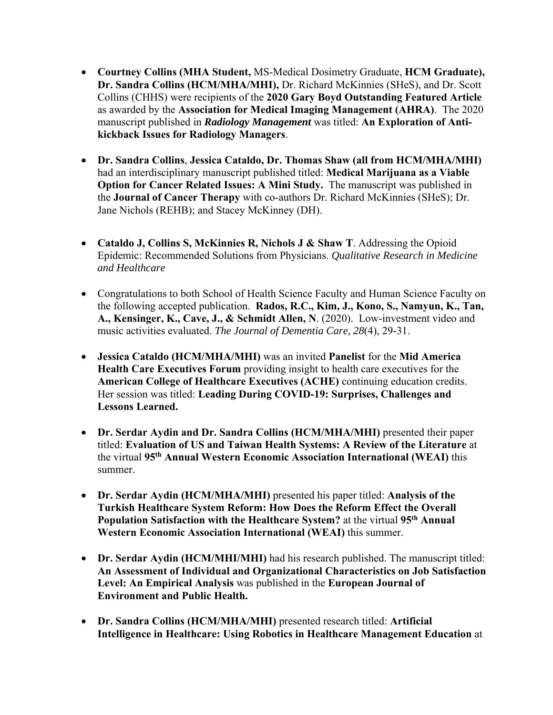- **Courtney Collins (MHA Student,** MS-Medical Dosimetry Graduate, **HCM Graduate), Dr. Sandra Collins (HCM/MHA/MHI),** Dr. Richard McKinnies (SHeS), and Dr. Scott Collins (CHHS) were recipients of the **2020 Gary Boyd Outstanding Featured Article** as awarded by the **Association for Medical Imaging Management (AHRA)**. The 2020 manuscript published in *Radiology Management* was titled: **An Exploration of Antikickback Issues for Radiology Managers**.
- **Dr. Sandra Collins**, **Jessica Cataldo, Dr. Thomas Shaw (all from HCM/MHA/MHI)** had an interdisciplinary manuscript published titled: **Medical Marijuana as a Viable Option for Cancer Related Issues: A Mini Study.** The manuscript was published in the **Journal of Cancer Therapy** with co-authors Dr. Richard McKinnies (SHeS); Dr. Jane Nichols (REHB); and Stacey McKinney (DH).
- **Cataldo J, Collins S, McKinnies R, Nichols J & Shaw T**. Addressing the Opioid Epidemic: Recommended Solutions from Physicians. *Qualitative Research in Medicine and Healthcare*
- Congratulations to both School of Health Science Faculty and Human Science Faculty on the following accepted publication. **Rados, R.C., Kim, J., Kono, S., Namyun, K., Tan, A., Kensinger, K., Cave, J., & Schmidt Allen, N**. (2020). Low-investment video and music activities evaluated. *The Journal of Dementia Care, 28*(4), 29-31.
- **Jessica Cataldo (HCM/MHA/MHI)** was an invited **Panelist** for the **Mid America Health Care Executives Forum** providing insight to health care executives for the **American College of Healthcare Executives (ACHE)** continuing education credits. Her session was titled: **Leading During COVID-19: Surprises, Challenges and Lessons Learned.**
- **Dr. Serdar Aydin and Dr. Sandra Collins (HCM/MHA/MHI)** presented their paper titled: **Evaluation of US and Taiwan Health Systems: A Review of the Literature** at the virtual **95th Annual Western Economic Association International (WEAI)** this summer.
- **Dr. Serdar Aydin (HCM/MHA/MHI)** presented his paper titled: **Analysis of the Turkish Healthcare System Reform: How Does the Reform Effect the Overall Population Satisfaction with the Healthcare System?** at the virtual **95th Annual Western Economic Association International (WEAI)** this summer.
- **Dr. Serdar Aydin (HCM/MHI/MHI)** had his research published. The manuscript titled: **An Assessment of Individual and Organizational Characteristics on Job Satisfaction Level: An Empirical Analysis** was published in the **European Journal of Environment and Public Health.**
- **Dr. Sandra Collins (HCM/MHA/MHI)** presented research titled: **Artificial Intelligence in Healthcare: Using Robotics in Healthcare Management Education** at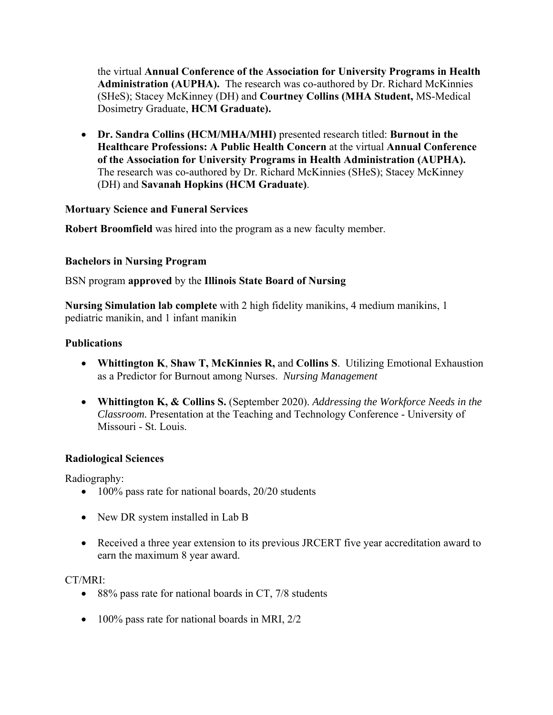the virtual **Annual Conference of the Association for University Programs in Health Administration (AUPHA).** The research was co-authored by Dr. Richard McKinnies (SHeS); Stacey McKinney (DH) and **Courtney Collins (MHA Student,** MS-Medical Dosimetry Graduate, **HCM Graduate).** 

 **Dr. Sandra Collins (HCM/MHA/MHI)** presented research titled: **Burnout in the Healthcare Professions: A Public Health Concern** at the virtual **Annual Conference of the Association for University Programs in Health Administration (AUPHA).**  The research was co-authored by Dr. Richard McKinnies (SHeS); Stacey McKinney (DH) and **Savanah Hopkins (HCM Graduate)**.

#### **Mortuary Science and Funeral Services**

**Robert Broomfield** was hired into the program as a new faculty member.

#### **Bachelors in Nursing Program**

BSN program **approved** by the **Illinois State Board of Nursing**

**Nursing Simulation lab complete** with 2 high fidelity manikins, 4 medium manikins, 1 pediatric manikin, and 1 infant manikin

#### **Publications**

- **Whittington K**, **Shaw T, McKinnies R,** and **Collins S**. Utilizing Emotional Exhaustion as a Predictor for Burnout among Nurses. *Nursing Management*
- **Whittington K, & Collins S.** (September 2020). *Addressing the Workforce Needs in the Classroom.* Presentation at the Teaching and Technology Conference - University of Missouri - St. Louis.

## **Radiological Sciences**

Radiography:

- 100% pass rate for national boards, 20/20 students
- New DR system installed in Lab B
- Received a three year extension to its previous JRCERT five year accreditation award to earn the maximum 8 year award.

#### CT/MRI:

- 88% pass rate for national boards in CT, 7/8 students
- 100% pass rate for national boards in MRI, 2/2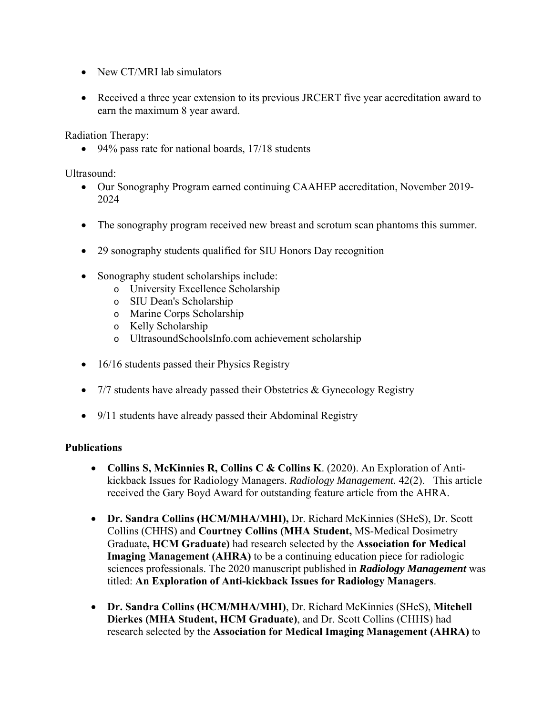- New CT/MRI lab simulators
- Received a three year extension to its previous JRCERT five year accreditation award to earn the maximum 8 year award.

Radiation Therapy:

• 94% pass rate for national boards, 17/18 students

Ultrasound:

- Our Sonography Program earned continuing CAAHEP accreditation, November 2019- 2024
- The sonography program received new breast and scrotum scan phantoms this summer.
- 29 sonography students qualified for SIU Honors Day recognition
- Sonography student scholarships include:
	- o University Excellence Scholarship
	- o SIU Dean's Scholarship
	- o Marine Corps Scholarship
	- o Kelly Scholarship
	- o UltrasoundSchoolsInfo.com achievement scholarship
- 16/16 students passed their Physics Registry
- 7/7 students have already passed their Obstetrics & Gynecology Registry
- 9/11 students have already passed their Abdominal Registry

## **Publications**

- **Collins S, McKinnies R, Collins C & Collins K**. (2020). An Exploration of Antikickback Issues for Radiology Managers. *Radiology Management.* 42(2). This article received the Gary Boyd Award for outstanding feature article from the AHRA.
- **Dr. Sandra Collins (HCM/MHA/MHI),** Dr. Richard McKinnies (SHeS), Dr. Scott Collins (CHHS) and **Courtney Collins (MHA Student,** MS-Medical Dosimetry Graduate**, HCM Graduate)** had research selected by the **Association for Medical Imaging Management (AHRA)** to be a continuing education piece for radiologic sciences professionals. The 2020 manuscript published in *Radiology Management* was titled: **An Exploration of Anti-kickback Issues for Radiology Managers**.
- **Dr. Sandra Collins (HCM/MHA/MHI)**, Dr. Richard McKinnies (SHeS), **Mitchell Dierkes (MHA Student, HCM Graduate)**, and Dr. Scott Collins (CHHS) had research selected by the **Association for Medical Imaging Management (AHRA)** to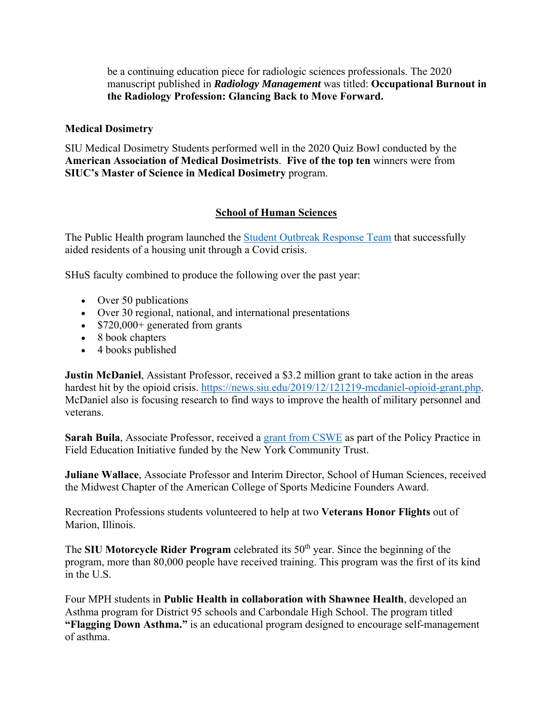be a continuing education piece for radiologic sciences professionals. The 2020 manuscript published in *Radiology Management* was titled: **Occupational Burnout in the Radiology Profession: Glancing Back to Move Forward.** 

#### **Medical Dosimetry**

SIU Medical Dosimetry Students performed well in the 2020 Quiz Bowl conducted by the **American Association of Medical Dosimetrists**. **Five of the top ten** winners were from **SIUC's Master of Science in Medical Dosimetry** program.

#### **School of Human Sciences**

The Public Health program launched the Student Outbreak Response Team that successfully aided residents of a housing unit through a Covid crisis.

SHuS faculty combined to produce the following over the past year:

- Over 50 publications
- Over 30 regional, national, and international presentations
- $\bullet$  \$720,000+ generated from grants
- 8 book chapters
- 4 books published

**Justin McDaniel**, Assistant Professor, received a \$3.2 million grant to take action in the areas hardest hit by the opioid crisis. https://news.siu.edu/2019/12/121219-mcdaniel-opioid-grant.php. McDaniel also is focusing research to find ways to improve the health of military personnel and veterans.

**Sarah Buila**, Associate Professor, received a grant from CSWE as part of the Policy Practice in Field Education Initiative funded by the New York Community Trust.

**Juliane Wallace**, Associate Professor and Interim Director, School of Human Sciences, received the Midwest Chapter of the American College of Sports Medicine Founders Award.

Recreation Professions students volunteered to help at two **Veterans Honor Flights** out of Marion, Illinois.

The **SIU Motorcycle Rider Program** celebrated its 50<sup>th</sup> year. Since the beginning of the program, more than 80,000 people have received training. This program was the first of its kind in the U.S.

Four MPH students in **Public Health in collaboration with Shawnee Health**, developed an Asthma program for District 95 schools and Carbondale High School. The program titled **"Flagging Down Asthma."** is an educational program designed to encourage self-management of asthma.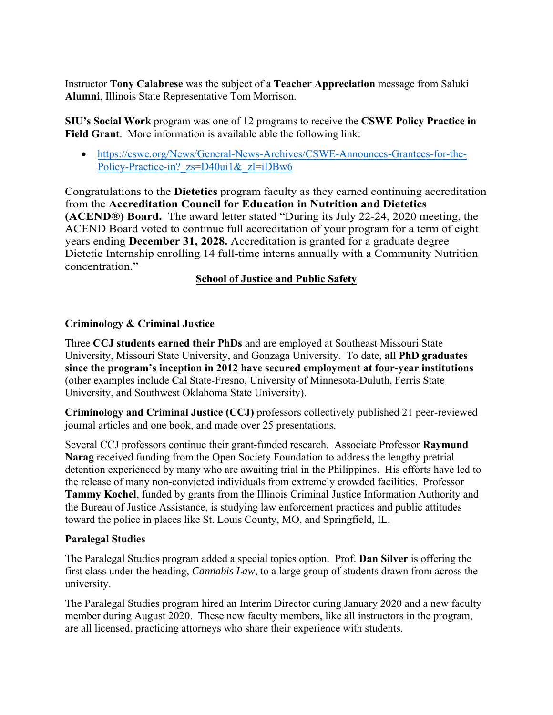Instructor **Tony Calabrese** was the subject of a **Teacher Appreciation** message from Saluki **Alumni**, Illinois State Representative Tom Morrison.

**SIU's Social Work** program was one of 12 programs to receive the **CSWE Policy Practice in Field Grant**. More information is available able the following link:

 https://cswe.org/News/General-News-Archives/CSWE-Announces-Grantees-for-the-Policy-Practice-in? zs=D40ui1& zl=iDBw6

Congratulations to the **Dietetics** program faculty as they earned continuing accreditation from the **Accreditation Council for Education in Nutrition and Dietetics (ACEND®) Board.** The award letter stated "During its July 22-24, 2020 meeting, the ACEND Board voted to continue full accreditation of your program for a term of eight years ending **December 31, 2028.** Accreditation is granted for a graduate degree Dietetic Internship enrolling 14 full-time interns annually with a Community Nutrition concentration."

## **School of Justice and Public Safety**

## **Criminology & Criminal Justice**

Three **CCJ students earned their PhDs** and are employed at Southeast Missouri State University, Missouri State University, and Gonzaga University. To date, **all PhD graduates since the program's inception in 2012 have secured employment at four-year institutions** (other examples include Cal State-Fresno, University of Minnesota-Duluth, Ferris State University, and Southwest Oklahoma State University).

**Criminology and Criminal Justice (CCJ)** professors collectively published 21 peer-reviewed journal articles and one book, and made over 25 presentations.

Several CCJ professors continue their grant-funded research. Associate Professor **Raymund Narag** received funding from the Open Society Foundation to address the lengthy pretrial detention experienced by many who are awaiting trial in the Philippines. His efforts have led to the release of many non-convicted individuals from extremely crowded facilities. Professor **Tammy Kochel**, funded by grants from the Illinois Criminal Justice Information Authority and the Bureau of Justice Assistance, is studying law enforcement practices and public attitudes toward the police in places like St. Louis County, MO, and Springfield, IL.

## **Paralegal Studies**

The Paralegal Studies program added a special topics option. Prof. **Dan Silver** is offering the first class under the heading, *Cannabis Law*, to a large group of students drawn from across the university.

The Paralegal Studies program hired an Interim Director during January 2020 and a new faculty member during August 2020. These new faculty members, like all instructors in the program, are all licensed, practicing attorneys who share their experience with students.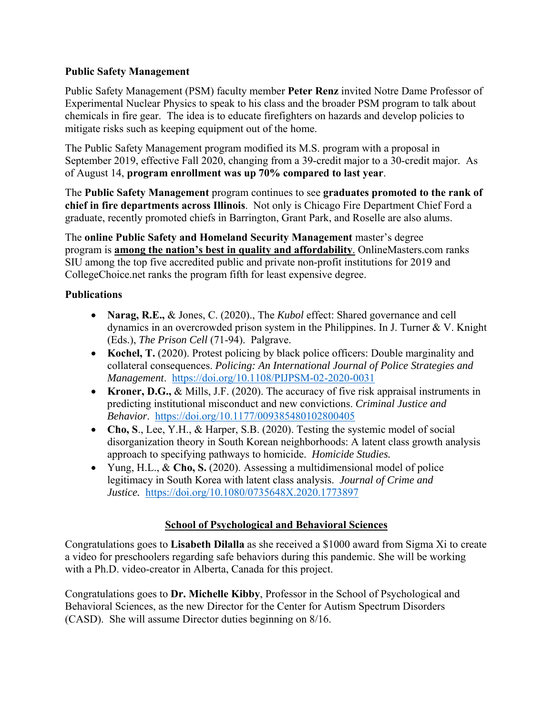#### **Public Safety Management**

Public Safety Management (PSM) faculty member **Peter Renz** invited Notre Dame Professor of Experimental Nuclear Physics to speak to his class and the broader PSM program to talk about chemicals in fire gear. The idea is to educate firefighters on hazards and develop policies to mitigate risks such as keeping equipment out of the home.

The Public Safety Management program modified its M.S. program with a proposal in September 2019, effective Fall 2020, changing from a 39-credit major to a 30-credit major. As of August 14, **program enrollment was up 70% compared to last year**.

The **Public Safety Management** program continues to see **graduates promoted to the rank of chief in fire departments across Illinois**. Not only is Chicago Fire Department Chief Ford a graduate, recently promoted chiefs in Barrington, Grant Park, and Roselle are also alums.

The **online Public Safety and Homeland Security Management** master's degree program is **among the nation's best in quality and affordability**. OnlineMasters.com ranks SIU among the top five accredited public and private non-profit institutions for 2019 and CollegeChoice.net ranks the program fifth for least expensive degree.

## **Publications**

- **Narag, R.E.,** & Jones, C. (2020)., The *Kubol* effect: Shared governance and cell dynamics in an overcrowded prison system in the Philippines. In J. Turner & V. Knight (Eds.), *The Prison Cell* (71-94). Palgrave.
- **Kochel, T.** (2020). Protest policing by black police officers: Double marginality and collateral consequences. *Policing: An International Journal of Police Strategies and Management*. https://doi.org/10.1108/PIJPSM-02-2020-0031
- **Kroner, D.G.,** & Mills, J.F. (2020). The accuracy of five risk appraisal instruments in predicting institutional misconduct and new convictions. *Criminal Justice and Behavior*. https://doi.org/10.1177/009385480102800405
- **Cho, S**., Lee, Y.H., & Harper, S.B. (2020). Testing the systemic model of social disorganization theory in South Korean neighborhoods: A latent class growth analysis approach to specifying pathways to homicide. *Homicide Studies.*
- Yung, H.L., & **Cho, S.** (2020). Assessing a multidimensional model of police legitimacy in South Korea with latent class analysis. *Journal of Crime and Justice.* https://doi.org/10.1080/0735648X.2020.1773897

# **School of Psychological and Behavioral Sciences**

Congratulations goes to **Lisabeth Dilalla** as she received a \$1000 award from Sigma Xi to create a video for preschoolers regarding safe behaviors during this pandemic. She will be working with a Ph.D. video-creator in Alberta, Canada for this project.

Congratulations goes to **Dr. Michelle Kibby**, Professor in the School of Psychological and Behavioral Sciences, as the new Director for the Center for Autism Spectrum Disorders (CASD). She will assume Director duties beginning on 8/16.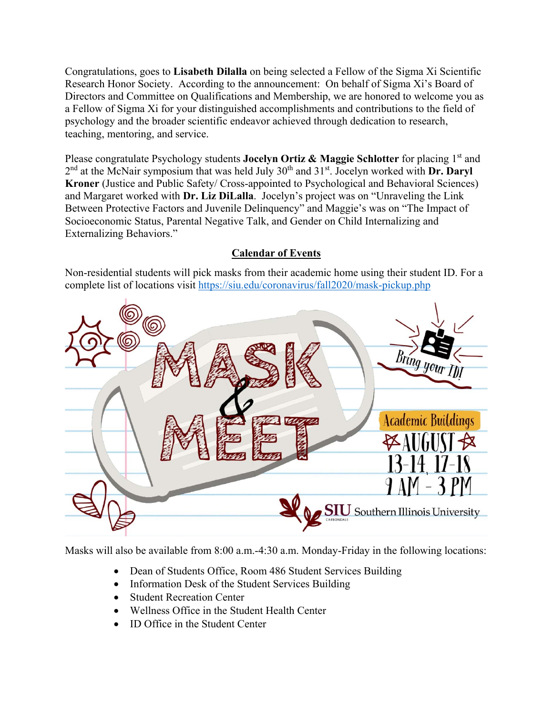Congratulations, goes to **Lisabeth Dilalla** on being selected a Fellow of the Sigma Xi Scientific Research Honor Society. According to the announcement: On behalf of Sigma Xi's Board of Directors and Committee on Qualifications and Membership, we are honored to welcome you as a Fellow of Sigma Xi for your distinguished accomplishments and contributions to the field of psychology and the broader scientific endeavor achieved through dedication to research, teaching, mentoring, and service.

Please congratulate Psychology students **Jocelyn Ortiz & Maggie Schlotter** for placing 1<sup>st</sup> and 2<sup>nd</sup> at the McNair symposium that was held July 30<sup>th</sup> and 31<sup>st</sup>. Jocelyn worked with **Dr. Daryl Kroner** (Justice and Public Safety/ Cross-appointed to Psychological and Behavioral Sciences) and Margaret worked with **Dr. Liz DiLalla**. Jocelyn's project was on "Unraveling the Link Between Protective Factors and Juvenile Delinquency" and Maggie's was on "The Impact of Socioeconomic Status, Parental Negative Talk, and Gender on Child Internalizing and Externalizing Behaviors."

# **Calendar of Events**

Non-residential students will pick masks from their academic home using their student ID. For a complete list of locations visit https://siu.edu/coronavirus/fall2020/mask-pickup.php



Masks will also be available from 8:00 a.m.-4:30 a.m. Monday-Friday in the following locations:

- Dean of Students Office, Room 486 Student Services Building
- Information Desk of the Student Services Building
- Student Recreation Center
- Wellness Office in the Student Health Center
- ID Office in the Student Center